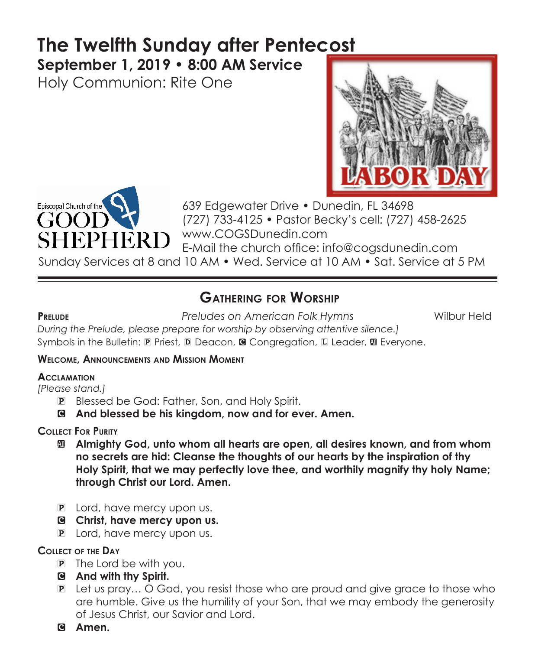# **The Twelfth Sunday after Pentecost**

**September 1, 2019 • 8:00 AM Service** 

Holy Communion: Rite One





639 Edgewater Drive • Dunedin, FL 34698 (727) 733-4125 • Pastor Becky's cell: (727) 458-2625 TERD WWW.COGSDunedin.com E-Mail the church office: info@cogsdunedin.com

Sunday Services at 8 and 10 AM • Wed. Service at 10 AM • Sat. Service at 5 PM

# **Gathering for Worship**

**Prelude** *Preludes on American Folk Hymns* Wilbur Held

*During the Prelude, please prepare for worship by observing attentive silence.]* Symbols in the Bulletin:  $\mathbb D$  Priest,  $\mathbb D$  Deacon, **G** Congregation,  $\mathbb L$  Leader,  $\mathbb D$  Everyone.

#### **Welcome, Announcements and Mission Moment**

#### **Acclamation**

*[Please stand.]* 

- P Blessed be God: Father, Son, and Holy Spirit.
- C **And blessed be his kingdom, now and for ever. Amen.**

#### **Collect For Purity**

- a **Almighty God, unto whom all hearts are open, all desires known, and from whom no secrets are hid: Cleanse the thoughts of our hearts by the inspiration of thy Holy Spirit, that we may perfectly love thee, and worthily magnify thy holy Name; through Christ our Lord. Amen.**
- **P** Lord, have mercy upon us.
- C **Christ, have mercy upon us.**
- **P** Lord, have mercy upon us.

#### **Collect of the Day**

- P The Lord be with you.
- C **And with thy Spirit.**
- P Let us pray… O God, you resist those who are proud and give grace to those who are humble. Give us the humility of your Son, that we may embody the generosity of Jesus Christ, our Savior and Lord.
- C **Amen.**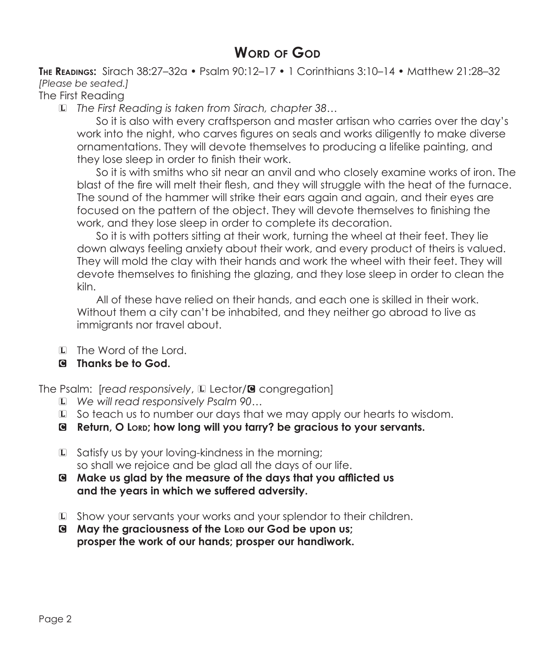# **WORD OF GOD**

**The Readings:** Sirach 38:27–32a • Psalm 90:12–17 • 1 Corinthians 3:10–14 • Matthew 21:28–32 *[Please be seated.]*

The First Reading

L *The First Reading is taken from Sirach, chapter 38…*

 So it is also with every craftsperson and master artisan who carries over the day's work into the night, who carves figures on seals and works diligently to make diverse ornamentations. They will devote themselves to producing a lifelike painting, and they lose sleep in order to finish their work.

 So it is with smiths who sit near an anvil and who closely examine works of iron. The blast of the fire will melt their flesh, and they will struggle with the heat of the furnace. The sound of the hammer will strike their ears again and again, and their eyes are focused on the pattern of the object. They will devote themselves to finishing the work, and they lose sleep in order to complete its decoration.

 So it is with potters sitting at their work, turning the wheel at their feet. They lie down always feeling anxiety about their work, and every product of theirs is valued. They will mold the clay with their hands and work the wheel with their feet. They will devote themselves to finishing the glazing, and they lose sleep in order to clean the kiln.

 All of these have relied on their hands, and each one is skilled in their work. Without them a city can't be inhabited, and they neither go abroad to live as immigrants nor travel about.

- L The Word of the Lord.
- C **Thanks be to God.**

The Psalm: [*read responsively*, La Lector/<sup>3</sup> congregation]

- L *We will read responsively Psalm 90…*
- L So teach us to number our days that we may apply our hearts to wisdom.
- C **Return, O Lord; how long will you tarry? be gracious to your servants.**
- L Satisfy us by your loving-kindness in the morning; so shall we rejoice and be glad all the days of our life.
- C **Make us glad by the measure of the days that you afflicted us and the years in which we suffered adversity.**
- L Show your servants your works and your splendor to their children.
- C **May the graciousness of the Lord our God be upon us; prosper the work of our hands; prosper our handiwork.**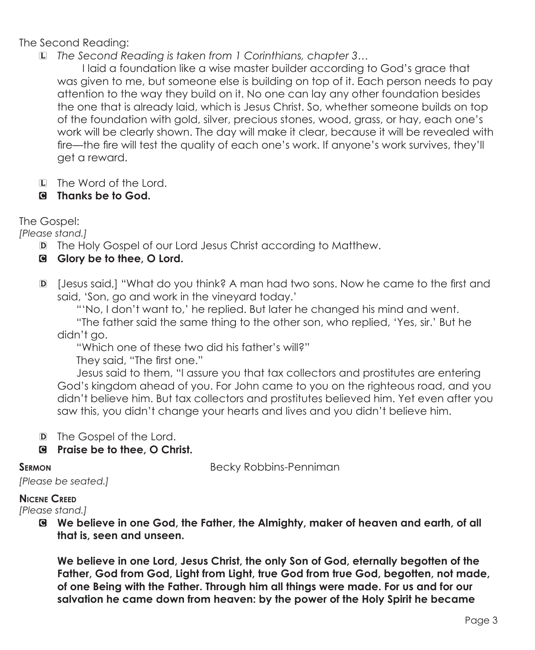The Second Reading:

L *The Second Reading is taken from 1 Corinthians, chapter 3…*

 I laid a foundation like a wise master builder according to God's grace that was given to me, but someone else is building on top of it. Each person needs to pay attention to the way they build on it. No one can lay any other foundation besides the one that is already laid, which is Jesus Christ. So, whether someone builds on top of the foundation with gold, silver, precious stones, wood, grass, or hay, each one's work will be clearly shown. The day will make it clear, because it will be revealed with fire—the fire will test the quality of each one's work. If anyone's work survives, they'll get a reward.

L The Word of the Lord.

#### C **Thanks be to God.**

The Gospel:

*[Please stand.]*

- D The Holy Gospel of our Lord Jesus Christ according to Matthew.
- C **Glory be to thee, O Lord.**
- D [Jesus said,] "What do you think? A man had two sons. Now he came to the first and said, 'Son, go and work in the vineyard today.'

 "'No, I don't want to,' he replied. But later he changed his mind and went. "The father said the same thing to the other son, who replied, 'Yes, sir.' But he didn't go.

"Which one of these two did his father's will?"

They said, "The first one."

 Jesus said to them, "I assure you that tax collectors and prostitutes are entering God's kingdom ahead of you. For John came to you on the righteous road, and you didn't believe him. But tax collectors and prostitutes believed him. Yet even after you saw this, you didn't change your hearts and lives and you didn't believe him.

D The Gospel of the Lord.

C **Praise be to thee, O Christ.**

**SERMON Becky Robbins-Penniman** 

```
[Please be seated.]
```
#### **Nicene Creed**

*[Please stand.]*

C **We believe in one God, the Father, the Almighty, maker of heaven and earth, of all that is, seen and unseen.** 

 **We believe in one Lord, Jesus Christ, the only Son of God, eternally begotten of the Father, God from God, Light from Light, true God from true God, begotten, not made, of one Being with the Father. Through him all things were made. For us and for our salvation he came down from heaven: by the power of the Holy Spirit he became**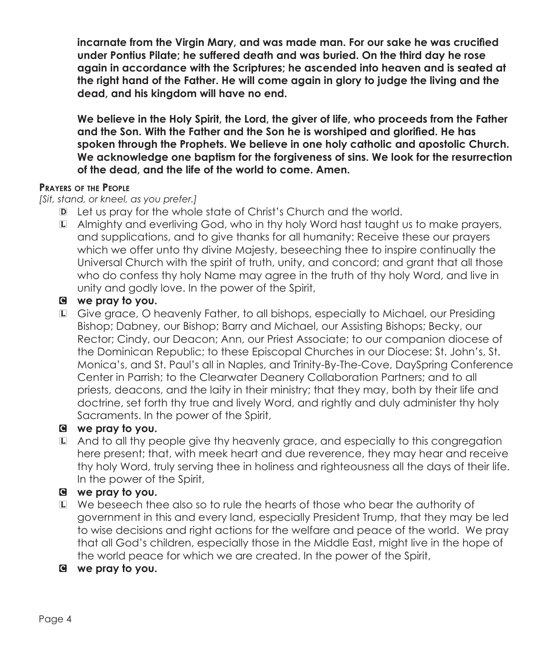**incarnate from the Virgin Mary, and was made man. For our sake he was crucified under Pontius Pilate; he suffered death and was buried. On the third day he rose again in accordance with the Scriptures; he ascended into heaven and is seated at the right hand of the Father. He will come again in glory to judge the living and the dead, and his kingdom will have no end.**

 **We believe in the Holy Spirit, the Lord, the giver of life, who proceeds from the Father and the Son. With the Father and the Son he is worshiped and glorified. He has spoken through the Prophets. We believe in one holy catholic and apostolic Church. We acknowledge one baptism for the forgiveness of sins. We look for the resurrection of the dead, and the life of the world to come. Amen.**

#### **Prayers of the People**

*[Sit, stand, or kneel, as you prefer.]*

- D Let us pray for the whole state of Christ's Church and the world.
- L Almighty and everliving God, who in thy holy Word hast taught us to make prayers, and supplications, and to give thanks for all humanity: Receive these our prayers which we offer unto thy divine Majesty, beseeching thee to inspire continually the Universal Church with the spirit of truth, unity, and concord; and grant that all those who do confess thy holy Name may agree in the truth of thy holy Word, and live in unity and godly love. In the power of the Spirit,

#### C **we pray to you.**

L Give grace, O heavenly Father, to all bishops, especially to Michael, our Presiding Bishop; Dabney, our Bishop; Barry and Michael, our Assisting Bishops; Becky, our Rector; Cindy, our Deacon; Ann, our Priest Associate; to our companion diocese of the Dominican Republic; to these Episcopal Churches in our Diocese: St. John's, St. Monica's, and St. Paul's all in Naples, and Trinity-By-The-Cove, DaySpring Conference Center in Parrish; to the Clearwater Deanery Collaboration Partners; and to all priests, deacons, and the laity in their ministry; that they may, both by their life and doctrine, set forth thy true and lively Word, and rightly and duly administer thy holy Sacraments. In the power of the Spirit,

#### C **we pray to you.**

L And to all thy people give thy heavenly grace, and especially to this congregation here present; that, with meek heart and due reverence, they may hear and receive thy holy Word, truly serving thee in holiness and righteousness all the days of their life. In the power of the Spirit,

#### C **we pray to you.**

- L We beseech thee also so to rule the hearts of those who bear the authority of government in this and every land, especially President Trump, that they may be led to wise decisions and right actions for the welfare and peace of the world. We pray that all God's children, especially those in the Middle East, might live in the hope of the world peace for which we are created. In the power of the Spirit,
- C **we pray to you.**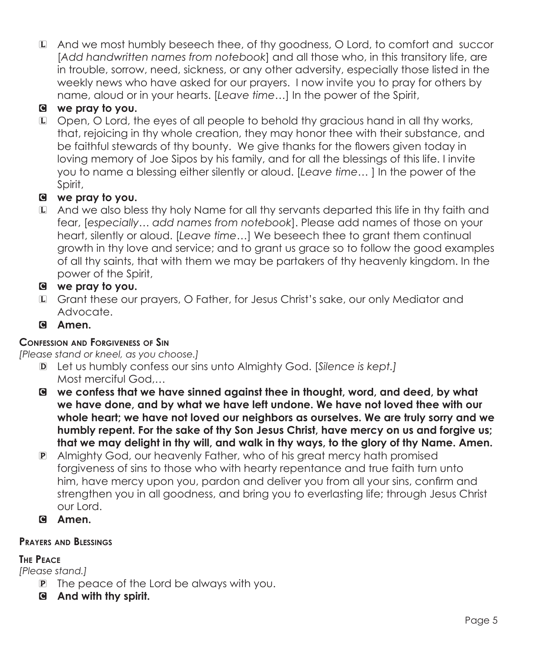L And we most humbly beseech thee, of thy goodness, O Lord, to comfort and succor [*Add handwritten names from notebook*] and all those who, in this transitory life, are in trouble, sorrow, need, sickness, or any other adversity, especially those listed in the weekly news who have asked for our prayers. I now invite you to pray for others by name, aloud or in your hearts. [*Leave time…*] In the power of the Spirit,

### C **we pray to you.**

L Open, O Lord, the eyes of all people to behold thy gracious hand in all thy works, that, rejoicing in thy whole creation, they may honor thee with their substance, and be faithful stewards of thy bounty. We give thanks for the flowers given today in loving memory of Joe Sipos by his family, and for all the blessings of this life. I invite you to name a blessing either silently or aloud. [*Leave time…* ] In the power of the Spirit,

### C **we pray to you.**

L And we also bless thy holy Name for all thy servants departed this life in thy faith and fear, [*especially… add names from notebook*]. Please add names of those on your heart, silently or aloud. [*Leave time…*] We beseech thee to grant them continual growth in thy love and service; and to grant us grace so to follow the good examples of all thy saints, that with them we may be partakers of thy heavenly kingdom. In the power of the Spirit,

#### C **we pray to you.**

- L Grant these our prayers, O Father, for Jesus Christ's sake, our only Mediator and Advocate.
- C **Amen.**

#### **Confession and Forgiveness of Sin**

*[Please stand or kneel, as you choose.]*

- D Let us humbly confess our sins unto Almighty God. [*Silence is kept.]* Most merciful God,*…*
- C **we confess that we have sinned against thee in thought, word, and deed, by what we have done, and by what we have left undone. We have not loved thee with our whole heart; we have not loved our neighbors as ourselves. We are truly sorry and we humbly repent. For the sake of thy Son Jesus Christ, have mercy on us and forgive us; that we may delight in thy will, and walk in thy ways, to the glory of thy Name. Amen.**
- P Almighty God, our heavenly Father, who of his great mercy hath promised forgiveness of sins to those who with hearty repentance and true faith turn unto him, have mercy upon you, pardon and deliver you from all your sins, confirm and strengthen you in all goodness, and bring you to everlasting life; through Jesus Christ our Lord.
- C **Amen.**

#### **Prayers and Blessings**

#### **The Peace**

*[Please stand.]*

- P The peace of the Lord be always with you.
- C **And with thy spirit.**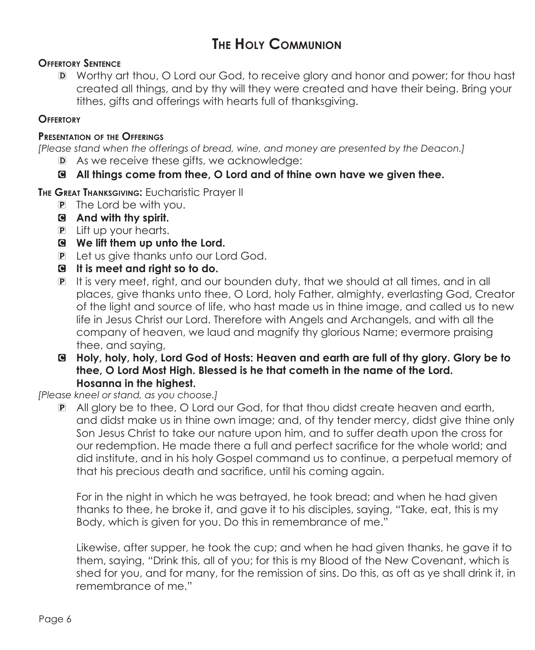# **The Holy Communion**

#### **Offertory Sentence**

D Worthy art thou, O Lord our God, to receive glory and honor and power; for thou hast created all things, and by thy will they were created and have their being. Bring your tithes, gifts and offerings with hearts full of thanksgiving.

#### **Offertory**

#### **Presentation of the Offerings**

*[Please stand when the offerings of bread, wine, and money are presented by the Deacon.]*

D As we receive these gifts, we acknowledge:

#### C **All things come from thee, O Lord and of thine own have we given thee.**

**The Great Thanksgiving:** Eucharistic Prayer II

- P The Lord be with you.
- C **And with thy spirit.**
- P Lift up your hearts.
- C **We lift them up unto the Lord.**
- P Let us give thanks unto our Lord God.
- C **It is meet and right so to do.**
- P It is very meet, right, and our bounden duty, that we should at all times, and in all places, give thanks unto thee, O Lord, holy Father, almighty, everlasting God, Creator of the light and source of life, who hast made us in thine image, and called us to new life in Jesus Christ our Lord. Therefore with Angels and Archangels, and with all the company of heaven, we laud and magnify thy glorious Name; evermore praising thee, and saying,
- C **Holy, holy, holy, Lord God of Hosts: Heaven and earth are full of thy glory. Glory be to thee, O Lord Most High. Blessed is he that cometh in the name of the Lord. Hosanna in the highest.**

*[Please kneel or stand, as you choose.]*

P All glory be to thee, O Lord our God, for that thou didst create heaven and earth, and didst make us in thine own image; and, of thy tender mercy, didst give thine only Son Jesus Christ to take our nature upon him, and to suffer death upon the cross for our redemption. He made there a full and perfect sacrifice for the whole world; and did institute, and in his holy Gospel command us to continue, a perpetual memory of that his precious death and sacrifice, until his coming again.

For in the night in which he was betrayed, he took bread; and when he had given thanks to thee, he broke it, and gave it to his disciples, saying, "Take, eat, this is my Body, which is given for you. Do this in remembrance of me."

 Likewise, after supper, he took the cup; and when he had given thanks, he gave it to them, saying, "Drink this, all of you; for this is my Blood of the New Covenant, which is shed for you, and for many, for the remission of sins. Do this, as oft as ye shall drink it, in remembrance of me."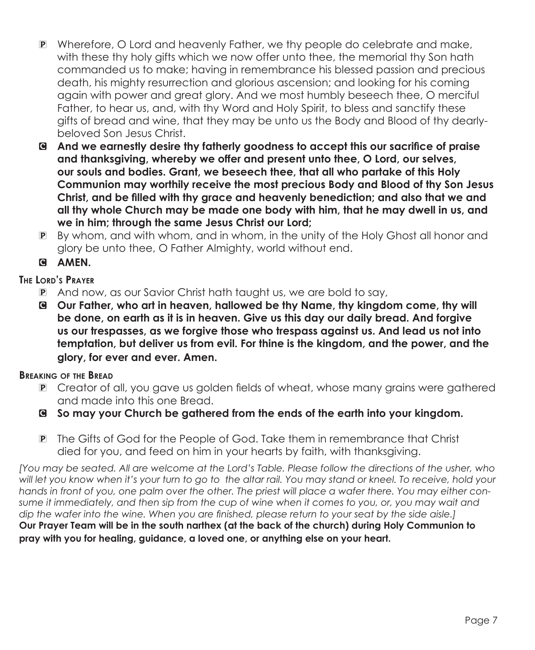- P Wherefore, O Lord and heavenly Father, we thy people do celebrate and make, with these thy holy gifts which we now offer unto thee, the memorial thy Son hath commanded us to make; having in remembrance his blessed passion and precious death, his mighty resurrection and glorious ascension; and looking for his coming again with power and great glory. And we most humbly beseech thee, O merciful Father, to hear us, and, with thy Word and Holy Spirit, to bless and sanctify these gifts of bread and wine, that they may be unto us the Body and Blood of thy dearlybeloved Son Jesus Christ.
- C **And we earnestly desire thy fatherly goodness to accept this our sacrifice of praise and thanksgiving, whereby we offer and present unto thee, O Lord, our selves, our souls and bodies. Grant, we beseech thee, that all who partake of this Holy Communion may worthily receive the most precious Body and Blood of thy Son Jesus Christ, and be filled with thy grace and heavenly benediction; and also that we and all thy whole Church may be made one body with him, that he may dwell in us, and we in him; through the same Jesus Christ our Lord;**
- P By whom, and with whom, and in whom, in the unity of the Holy Ghost all honor and glory be unto thee, O Father Almighty, world without end.

#### C **AMEN.**

#### **The Lord's Prayer**

- P And now, as our Savior Christ hath taught us, we are bold to say,
- C **Our Father, who art in heaven, hallowed be thy Name, thy kingdom come, thy will be done, on earth as it is in heaven. Give us this day our daily bread. And forgive us our trespasses, as we forgive those who trespass against us. And lead us not into temptation, but deliver us from evil. For thine is the kingdom, and the power, and the glory, for ever and ever. Amen.**

#### **Breaking of the Bread**

- P Creator of all, you gave us golden fields of wheat, whose many grains were gathered and made into this one Bread.
- C **So may your Church be gathered from the ends of the earth into your kingdom.**
- P The Gifts of God for the People of God. Take them in remembrance that Christ died for you, and feed on him in your hearts by faith, with thanksgiving.

*[You may be seated. All are welcome at the Lord's Table. Please follow the directions of the usher, who will let you know when it's your turn to go to the altar rail. You may stand or kneel. To receive, hold your hands in front of you, one palm over the other. The priest will place a wafer there. You may either consume it immediately, and then sip from the cup of wine when it comes to you, or, you may wait and dip the wafer into the wine. When you are finished, please return to your seat by the side aisle.]* **Our Prayer Team will be in the south narthex (at the back of the church) during Holy Communion to pray with you for healing, guidance, a loved one, or anything else on your heart.**